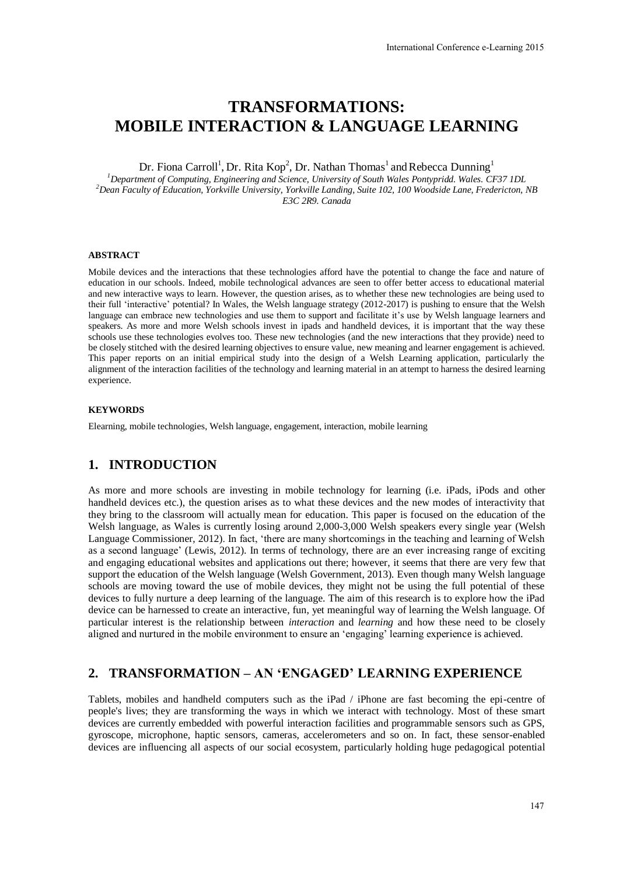# **TRANSFORMATIONS: MOBILE INTERACTION & LANGUAGE LEARNING**

Dr. Fiona Carroll<sup>1</sup>, Dr. Rita Kop<sup>2</sup>, Dr. Nathan Thomas<sup>1</sup> and Rebecca Dunning<sup>1</sup>

*<sup>1</sup>Department of Computing, Engineering and Science, University of South Wales Pontypridd. Wales. CF37 1DL <sup>2</sup>Dean Faculty of Education, Yorkville University, Yorkville Landing, Suite 102, 100 Woodside Lane, Fredericton, NB E3C 2R9. Canada*

#### **ABSTRACT**

Mobile devices and the interactions that these technologies afford have the potential to change the face and nature of education in our schools. Indeed, mobile technological advances are seen to offer better access to educational material and new interactive ways to learn. However, the question arises, as to whether these new technologies are being used to their full 'interactive' potential? In Wales, the Welsh language strategy (2012-2017) is pushing to ensure that the Welsh language can embrace new technologies and use them to support and facilitate it's use by Welsh language learners and speakers. As more and more Welsh schools invest in ipads and handheld devices, it is important that the way these schools use these technologies evolves too. These new technologies (and the new interactions that they provide) need to be closely stitched with the desired learning objectives to ensure value, new meaning and learner engagement is achieved. This paper reports on an initial empirical study into the design of a Welsh Learning application, particularly the alignment of the interaction facilities of the technology and learning material in an attempt to harness the desired learning experience.

#### **KEYWORDS**

Elearning, mobile technologies, Welsh language, engagement, interaction, mobile learning

# **1. INTRODUCTION**

As more and more schools are investing in mobile technology for learning (i.e. iPads, iPods and other handheld devices etc.), the question arises as to what these devices and the new modes of interactivity that they bring to the classroom will actually mean for education. This paper is focused on the education of the Welsh language, as Wales is currently losing around 2,000-3,000 Welsh speakers every single year (Welsh Language Commissioner, 2012). In fact, 'there are many shortcomings in the teaching and learning of Welsh as a second language' (Lewis, 2012). In terms of technology, there are an ever increasing range of exciting and engaging educational websites and applications out there; however, it seems that there are very few that support the education of the Welsh language (Welsh Government, 2013). Even though many Welsh language schools are moving toward the use of mobile devices, they might not be using the full potential of these devices to fully nurture a deep learning of the language. The aim of this research is to explore how the iPad device can be harnessed to create an interactive, fun, yet meaningful way of learning the Welsh language. Of particular interest is the relationship between *interaction* and *learning* and how these need to be closely aligned and nurtured in the mobile environment to ensure an 'engaging' learning experience is achieved.

#### **2. TRANSFORMATION – AN 'ENGAGED' LEARNING EXPERIENCE**

Tablets, mobiles and handheld computers such as the iPad / iPhone are fast becoming the epi-centre of people's lives; they are transforming the ways in which we interact with technology. Most of these smart devices are currently embedded with powerful interaction facilities and programmable sensors such as GPS, gyroscope, microphone, haptic sensors, cameras, accelerometers and so on. In fact, these sensor-enabled devices are influencing all aspects of our social ecosystem, particularly holding huge pedagogical potential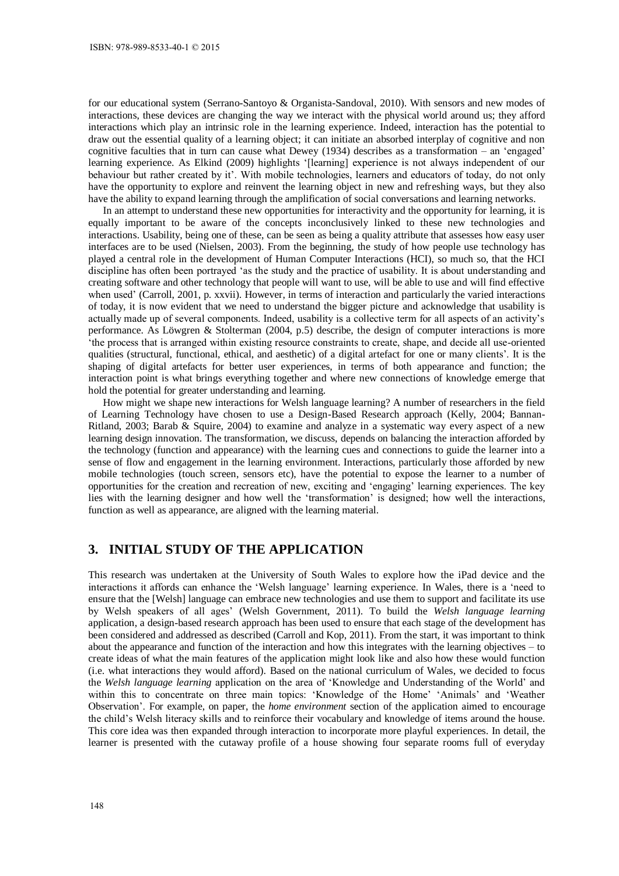for our educational system (Serrano-Santoyo & Organista-Sandoval, 2010). With sensors and new modes of interactions, these devices are changing the way we interact with the physical world around us; they afford interactions which play an intrinsic role in the learning experience. Indeed, interaction has the potential to draw out the essential quality of a learning object; it can initiate an absorbed interplay of cognitive and non cognitive faculties that in turn can cause what Dewey (1934) describes as a transformation – an 'engaged' learning experience. As Elkind (2009) highlights '[learning] experience is not always independent of our behaviour but rather created by it'. With mobile technologies, learners and educators of today, do not only have the opportunity to explore and reinvent the learning object in new and refreshing ways, but they also have the ability to expand learning through the amplification of social conversations and learning networks.

In an attempt to understand these new opportunities for interactivity and the opportunity for learning, it is equally important to be aware of the concepts inconclusively linked to these new technologies and interactions. Usability, being one of these, can be seen as being a quality attribute that assesses how easy user interfaces are to be used (Nielsen, 2003). From the beginning, the study of how people use technology has played a central role in the development of Human Computer Interactions (HCI), so much so, that the HCI discipline has often been portrayed 'as the study and the practice of usability. It is about understanding and creating software and other technology that people will want to use, will be able to use and will find effective when used' (Carroll, 2001, p. xxvii). However, in terms of interaction and particularly the varied interactions of today, it is now evident that we need to understand the bigger picture and acknowledge that usability is actually made up of several components. Indeed, usability is a collective term for all aspects of an activity's performance. As Löwgren & Stolterman (2004, p.5) describe, the design of computer interactions is more 'the process that is arranged within existing resource constraints to create, shape, and decide all use-oriented qualities (structural, functional, ethical, and aesthetic) of a digital artefact for one or many clients'. It is the shaping of digital artefacts for better user experiences, in terms of both appearance and function; the interaction point is what brings everything together and where new connections of knowledge emerge that hold the potential for greater understanding and learning.

How might we shape new interactions for Welsh language learning? A number of researchers in the field of Learning Technology have chosen to use a Design-Based Research approach (Kelly, 2004; Bannan-Ritland, 2003; Barab & Squire, 2004) to examine and analyze in a systematic way every aspect of a new learning design innovation. The transformation, we discuss, depends on balancing the interaction afforded by the technology (function and appearance) with the learning cues and connections to guide the learner into a sense of flow and engagement in the learning environment. Interactions, particularly those afforded by new mobile technologies (touch screen, sensors etc), have the potential to expose the learner to a number of opportunities for the creation and recreation of new, exciting and 'engaging' learning experiences. The key lies with the learning designer and how well the 'transformation' is designed; how well the interactions, function as well as appearance, are aligned with the learning material.

## **3. INITIAL STUDY OF THE APPLICATION**

This research was undertaken at the University of South Wales to explore how the iPad device and the interactions it affords can enhance the 'Welsh language' learning experience. In Wales, there is a 'need to ensure that the [Welsh] language can embrace new technologies and use them to support and facilitate its use by Welsh speakers of all ages' (Welsh Government, 2011). To build the *Welsh language learning* application, a design-based research approach has been used to ensure that each stage of the development has been considered and addressed as described (Carroll and Kop, 2011). From the start, it was important to think about the appearance and function of the interaction and how this integrates with the learning objectives – to create ideas of what the main features of the application might look like and also how these would function (i.e. what interactions they would afford). Based on the national curriculum of Wales, we decided to focus the *Welsh language learning* application on the area of 'Knowledge and Understanding of the World' and within this to concentrate on three main topics: 'Knowledge of the Home' 'Animals' and 'Weather Observation'. For example, on paper, the *home environment* section of the application aimed to encourage the child's Welsh literacy skills and to reinforce their vocabulary and knowledge of items around the house. This core idea was then expanded through interaction to incorporate more playful experiences. In detail, the learner is presented with the cutaway profile of a house showing four separate rooms full of everyday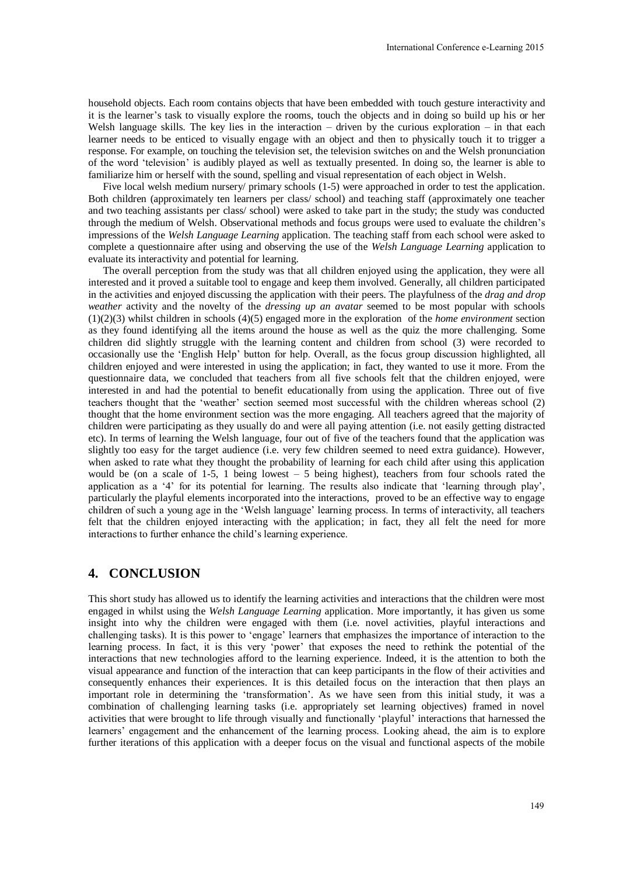household objects. Each room contains objects that have been embedded with touch gesture interactivity and it is the learner's task to visually explore the rooms, touch the objects and in doing so build up his or her Welsh language skills. The key lies in the interaction – driven by the curious exploration – in that each learner needs to be enticed to visually engage with an object and then to physically touch it to trigger a response. For example, on touching the television set, the television switches on and the Welsh pronunciation of the word 'television' is audibly played as well as textually presented. In doing so, the learner is able to familiarize him or herself with the sound, spelling and visual representation of each object in Welsh.

Five local welsh medium nursery/ primary schools (1-5) were approached in order to test the application. Both children (approximately ten learners per class/ school) and teaching staff (approximately one teacher and two teaching assistants per class/ school) were asked to take part in the study; the study was conducted through the medium of Welsh. Observational methods and focus groups were used to evaluate the children's impressions of the *Welsh Language Learning* application. The teaching staff from each school were asked to complete a questionnaire after using and observing the use of the *Welsh Language Learning* application to evaluate its interactivity and potential for learning.

The overall perception from the study was that all children enjoyed using the application, they were all interested and it proved a suitable tool to engage and keep them involved. Generally, all children participated in the activities and enjoyed discussing the application with their peers. The playfulness of the *drag and drop weather* activity and the novelty of the *dressing up an avatar* seemed to be most popular with schools (1)(2)(3) whilst children in schools (4)(5) engaged more in the exploration of the *home environment* section as they found identifying all the items around the house as well as the quiz the more challenging. Some children did slightly struggle with the learning content and children from school (3) were recorded to occasionally use the 'English Help' button for help. Overall, as the focus group discussion highlighted, all children enjoyed and were interested in using the application; in fact, they wanted to use it more. From the questionnaire data, we concluded that teachers from all five schools felt that the children enjoyed, were interested in and had the potential to benefit educationally from using the application. Three out of five teachers thought that the 'weather' section seemed most successful with the children whereas school (2) thought that the home environment section was the more engaging. All teachers agreed that the majority of children were participating as they usually do and were all paying attention (i.e. not easily getting distracted etc). In terms of learning the Welsh language, four out of five of the teachers found that the application was slightly too easy for the target audience (i.e. very few children seemed to need extra guidance). However, when asked to rate what they thought the probability of learning for each child after using this application would be (on a scale of 1-5, 1 being lowest  $-5$  being highest), teachers from four schools rated the application as a '4' for its potential for learning. The results also indicate that 'learning through play', particularly the playful elements incorporated into the interactions, proved to be an effective way to engage children of such a young age in the 'Welsh language' learning process. In terms of interactivity, all teachers felt that the children enjoyed interacting with the application; in fact, they all felt the need for more interactions to further enhance the child's learning experience.

#### **4. CONCLUSION**

This short study has allowed us to identify the learning activities and interactions that the children were most engaged in whilst using the *Welsh Language Learning* application. More importantly, it has given us some insight into why the children were engaged with them (i.e. novel activities, playful interactions and challenging tasks). It is this power to 'engage' learners that emphasizes the importance of interaction to the learning process. In fact, it is this very 'power' that exposes the need to rethink the potential of the interactions that new technologies afford to the learning experience. Indeed, it is the attention to both the visual appearance and function of the interaction that can keep participants in the flow of their activities and consequently enhances their experiences. It is this detailed focus on the interaction that then plays an important role in determining the 'transformation'. As we have seen from this initial study, it was a combination of challenging learning tasks (i.e. appropriately set learning objectives) framed in novel activities that were brought to life through visually and functionally 'playful' interactions that harnessed the learners' engagement and the enhancement of the learning process. Looking ahead, the aim is to explore further iterations of this application with a deeper focus on the visual and functional aspects of the mobile